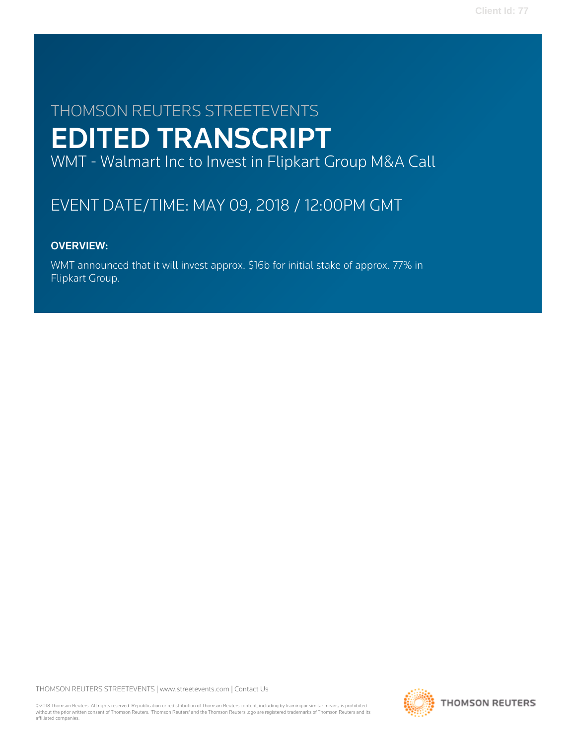# THOMSON REUTERS STREETEVENTS EDITED TRANSCRIPT

WMT - Walmart Inc to Invest in Flipkart Group M&A Call

## EVENT DATE/TIME: MAY 09, 2018 / 12:00PM GMT

## OVERVIEW:

WMT announced that it will invest approx. \$16b for initial stake of approx. 77% in Flipkart Group.

THOMSON REUTERS STREETEVENTS | [www.streetevents.com](http://www.streetevents.com) | [Contact Us](http://www010.streetevents.com/contact.asp)

©2018 Thomson Reuters. All rights reserved. Republication or redistribution of Thomson Reuters content, including by framing or similar means, is prohibited without the prior written consent of Thomson Reuters. 'Thomson Reuters' and the Thomson Reuters logo are registered trademarks of Thomson Reuters and its affiliated companies.

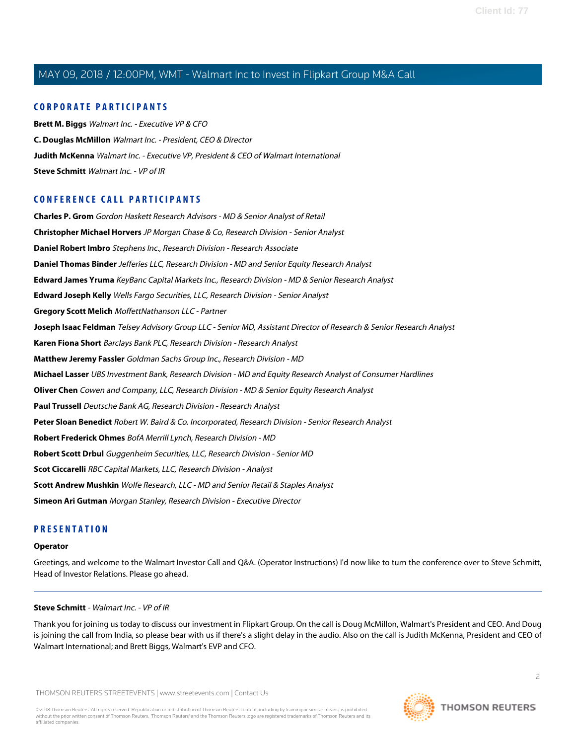#### **CORPORATE PARTICIPANTS**

**[Brett M. Biggs](#page-3-0)** Walmart Inc. - Executive VP & CFO **[C. Douglas McMillon](#page-2-0)** Walmart Inc. - President, CEO & Director **[Judith McKenna](#page-4-0)** Walmart Inc. - Executive VP, President & CEO of Walmart International **[Steve Schmitt](#page-1-0)** Walmart Inc. - VP of IR

#### **CONFERENCE CALL PARTICIPANTS**

**[Charles P. Grom](#page-12-0)** Gordon Haskett Research Advisors - MD & Senior Analyst of Retail **[Christopher Michael Horvers](#page-7-0)** JP Morgan Chase & Co, Research Division - Senior Analyst **[Daniel Robert Imbro](#page-9-0)** Stephens Inc., Research Division - Research Associate **[Daniel Thomas Binder](#page-13-0)** Jefferies LLC, Research Division - MD and Senior Equity Research Analyst **[Edward James Yruma](#page-10-0)** KeyBanc Capital Markets Inc., Research Division - MD & Senior Research Analyst **[Edward Joseph Kelly](#page-11-0)** Wells Fargo Securities, LLC, Research Division - Senior Analyst **[Gregory Scott Melich](#page-13-1)** MoffettNathanson LLC - Partner **[Joseph Isaac Feldman](#page-13-2)** Telsey Advisory Group LLC - Senior MD, Assistant Director of Research & Senior Research Analyst **[Karen Fiona Short](#page-4-1)** Barclays Bank PLC, Research Division - Research Analyst **[Matthew Jeremy Fassler](#page-5-0)** Goldman Sachs Group Inc., Research Division - MD **[Michael Lasser](#page-6-0)** UBS Investment Bank, Research Division - MD and Equity Research Analyst of Consumer Hardlines **[Oliver Chen](#page-5-1)** Cowen and Company, LLC, Research Division - MD & Senior Equity Research Analyst **[Paul Trussell](#page-14-0)** Deutsche Bank AG, Research Division - Research Analyst **[Peter Sloan Benedict](#page-6-1)** Robert W. Baird & Co. Incorporated, Research Division - Senior Research Analyst **[Robert Frederick Ohmes](#page-7-1)** BofA Merrill Lynch, Research Division - MD **[Robert Scott Drbul](#page-10-1)** Guggenheim Securities, LLC, Research Division - Senior MD **[Scot Ciccarelli](#page-9-1)** RBC Capital Markets, LLC, Research Division - Analyst **[Scott Andrew Mushkin](#page-8-0)** Wolfe Research, LLC - MD and Senior Retail & Staples Analyst **[Simeon Ari Gutman](#page-9-2)** Morgan Stanley, Research Division - Executive Director

#### **PRESENTATION**

#### <span id="page-1-0"></span>**Operator**

Greetings, and welcome to the Walmart Investor Call and Q&A. (Operator Instructions) I'd now like to turn the conference over to Steve Schmitt, Head of Investor Relations. Please go ahead.

#### **Steve Schmitt** - Walmart Inc. - VP of IR

Thank you for joining us today to discuss our investment in Flipkart Group. On the call is Doug McMillon, Walmart's President and CEO. And Doug is joining the call from India, so please bear with us if there's a slight delay in the audio. Also on the call is Judith McKenna, President and CEO of Walmart International; and Brett Biggs, Walmart's EVP and CFO.

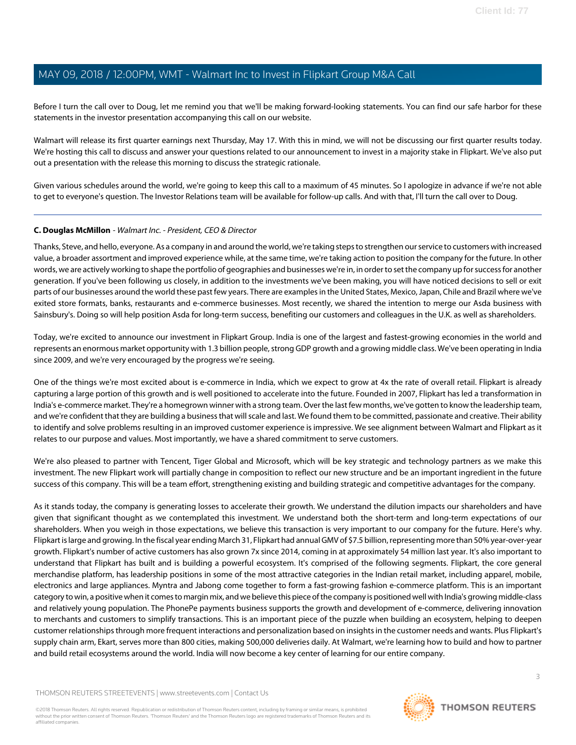Before I turn the call over to Doug, let me remind you that we'll be making forward-looking statements. You can find our safe harbor for these statements in the investor presentation accompanying this call on our website.

Walmart will release its first quarter earnings next Thursday, May 17. With this in mind, we will not be discussing our first quarter results today. We're hosting this call to discuss and answer your questions related to our announcement to invest in a majority stake in Flipkart. We've also put out a presentation with the release this morning to discuss the strategic rationale.

Given various schedules around the world, we're going to keep this call to a maximum of 45 minutes. So I apologize in advance if we're not able to get to everyone's question. The Investor Relations team will be available for follow-up calls. And with that, I'll turn the call over to Doug.

#### <span id="page-2-0"></span>**C. Douglas McMillon** - Walmart Inc. - President, CEO & Director

Thanks, Steve, and hello, everyone. As a company in and around the world, we're taking steps to strengthen our service to customers with increased value, a broader assortment and improved experience while, at the same time, we're taking action to position the company for the future. In other words, we are actively working to shape the portfolio of geographies and businesses we're in, in order to set the company up for success for another generation. If you've been following us closely, in addition to the investments we've been making, you will have noticed decisions to sell or exit parts of our businesses around the world these past few years. There are examples in the United States, Mexico, Japan, Chile and Brazil where we've exited store formats, banks, restaurants and e-commerce businesses. Most recently, we shared the intention to merge our Asda business with Sainsbury's. Doing so will help position Asda for long-term success, benefiting our customers and colleagues in the U.K. as well as shareholders.

Today, we're excited to announce our investment in Flipkart Group. India is one of the largest and fastest-growing economies in the world and represents an enormous market opportunity with 1.3 billion people, strong GDP growth and a growing middle class. We've been operating in India since 2009, and we're very encouraged by the progress we're seeing.

One of the things we're most excited about is e-commerce in India, which we expect to grow at 4x the rate of overall retail. Flipkart is already capturing a large portion of this growth and is well positioned to accelerate into the future. Founded in 2007, Flipkart has led a transformation in India's e-commerce market. They're a homegrown winner with a strong team. Over the last few months, we've gotten to know the leadership team, and we're confident that they are building a business that will scale and last. We found them to be committed, passionate and creative. Their ability to identify and solve problems resulting in an improved customer experience is impressive. We see alignment between Walmart and Flipkart as it relates to our purpose and values. Most importantly, we have a shared commitment to serve customers.

We're also pleased to partner with Tencent, Tiger Global and Microsoft, which will be key strategic and technology partners as we make this investment. The new Flipkart work will partially change in composition to reflect our new structure and be an important ingredient in the future success of this company. This will be a team effort, strengthening existing and building strategic and competitive advantages for the company.

As it stands today, the company is generating losses to accelerate their growth. We understand the dilution impacts our shareholders and have given that significant thought as we contemplated this investment. We understand both the short-term and long-term expectations of our shareholders. When you weigh in those expectations, we believe this transaction is very important to our company for the future. Here's why. Flipkart is large and growing. In the fiscal year ending March 31, Flipkart had annual GMV of \$7.5 billion, representing more than 50% year-over-year growth. Flipkart's number of active customers has also grown 7x since 2014, coming in at approximately 54 million last year. It's also important to understand that Flipkart has built and is building a powerful ecosystem. It's comprised of the following segments. Flipkart, the core general merchandise platform, has leadership positions in some of the most attractive categories in the Indian retail market, including apparel, mobile, electronics and large appliances. Myntra and Jabong come together to form a fast-growing fashion e-commerce platform. This is an important category to win, a positive when it comes to margin mix, and we believe this piece of the company is positioned well with India's growing middle-class and relatively young population. The PhonePe payments business supports the growth and development of e-commerce, delivering innovation to merchants and customers to simplify transactions. This is an important piece of the puzzle when building an ecosystem, helping to deepen customer relationships through more frequent interactions and personalization based on insights in the customer needs and wants. Plus Flipkart's supply chain arm, Ekart, serves more than 800 cities, making 500,000 deliveries daily. At Walmart, we're learning how to build and how to partner and build retail ecosystems around the world. India will now become a key center of learning for our entire company.

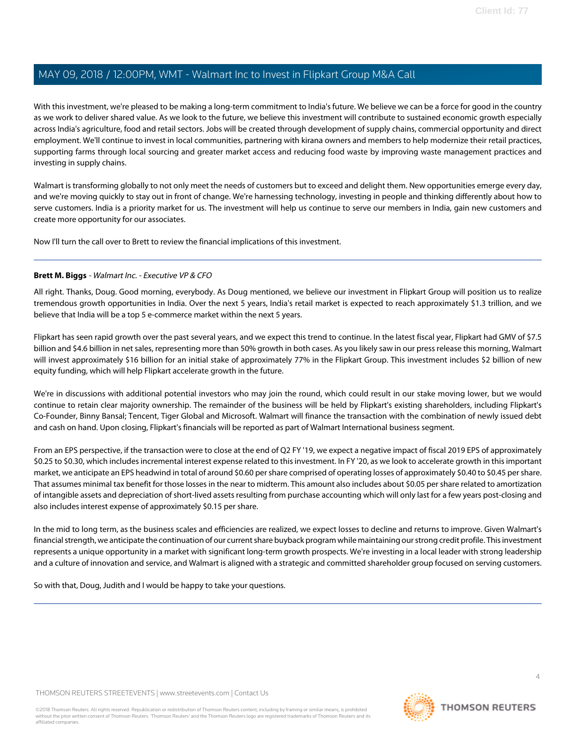With this investment, we're pleased to be making a long-term commitment to India's future. We believe we can be a force for good in the country as we work to deliver shared value. As we look to the future, we believe this investment will contribute to sustained economic growth especially across India's agriculture, food and retail sectors. Jobs will be created through development of supply chains, commercial opportunity and direct employment. We'll continue to invest in local communities, partnering with kirana owners and members to help modernize their retail practices, supporting farms through local sourcing and greater market access and reducing food waste by improving waste management practices and investing in supply chains.

Walmart is transforming globally to not only meet the needs of customers but to exceed and delight them. New opportunities emerge every day, and we're moving quickly to stay out in front of change. We're harnessing technology, investing in people and thinking differently about how to serve customers. India is a priority market for us. The investment will help us continue to serve our members in India, gain new customers and create more opportunity for our associates.

<span id="page-3-0"></span>Now I'll turn the call over to Brett to review the financial implications of this investment.

#### **Brett M. Biggs** - Walmart Inc. - Executive VP & CFO

All right. Thanks, Doug. Good morning, everybody. As Doug mentioned, we believe our investment in Flipkart Group will position us to realize tremendous growth opportunities in India. Over the next 5 years, India's retail market is expected to reach approximately \$1.3 trillion, and we believe that India will be a top 5 e-commerce market within the next 5 years.

Flipkart has seen rapid growth over the past several years, and we expect this trend to continue. In the latest fiscal year, Flipkart had GMV of \$7.5 billion and \$4.6 billion in net sales, representing more than 50% growth in both cases. As you likely saw in our press release this morning, Walmart will invest approximately \$16 billion for an initial stake of approximately 77% in the Flipkart Group. This investment includes \$2 billion of new equity funding, which will help Flipkart accelerate growth in the future.

We're in discussions with additional potential investors who may join the round, which could result in our stake moving lower, but we would continue to retain clear majority ownership. The remainder of the business will be held by Flipkart's existing shareholders, including Flipkart's Co-Founder, Binny Bansal; Tencent, Tiger Global and Microsoft. Walmart will finance the transaction with the combination of newly issued debt and cash on hand. Upon closing, Flipkart's financials will be reported as part of Walmart International business segment.

From an EPS perspective, if the transaction were to close at the end of Q2 FY '19, we expect a negative impact of fiscal 2019 EPS of approximately \$0.25 to \$0.30, which includes incremental interest expense related to this investment. In FY '20, as we look to accelerate growth in this important market, we anticipate an EPS headwind in total of around \$0.60 per share comprised of operating losses of approximately \$0.40 to \$0.45 per share. That assumes minimal tax benefit for those losses in the near to midterm. This amount also includes about \$0.05 per share related to amortization of intangible assets and depreciation of short-lived assets resulting from purchase accounting which will only last for a few years post-closing and also includes interest expense of approximately \$0.15 per share.

In the mid to long term, as the business scales and efficiencies are realized, we expect losses to decline and returns to improve. Given Walmart's financial strength, we anticipate the continuation of our current share buyback program while maintaining our strong credit profile. This investment represents a unique opportunity in a market with significant long-term growth prospects. We're investing in a local leader with strong leadership and a culture of innovation and service, and Walmart is aligned with a strategic and committed shareholder group focused on serving customers.

So with that, Doug, Judith and I would be happy to take your questions.

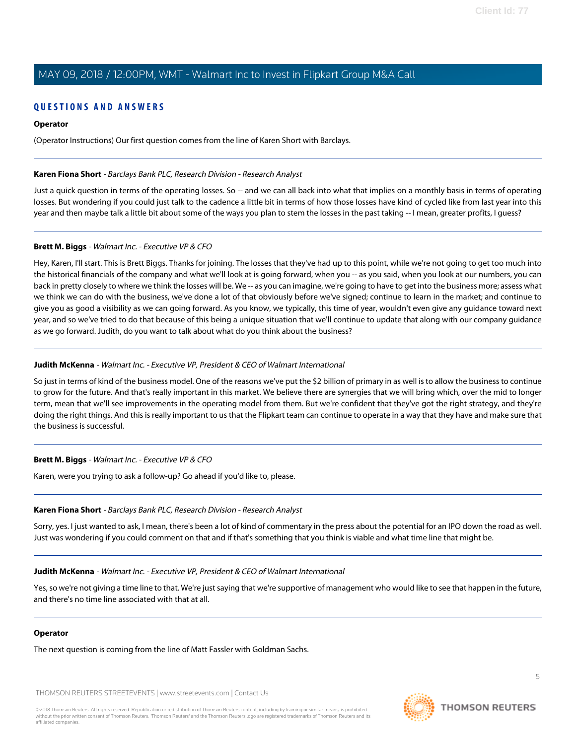#### **QUESTIONS AND ANSWERS**

#### **Operator**

<span id="page-4-1"></span>(Operator Instructions) Our first question comes from the line of Karen Short with Barclays.

#### **Karen Fiona Short** - Barclays Bank PLC, Research Division - Research Analyst

Just a quick question in terms of the operating losses. So -- and we can all back into what that implies on a monthly basis in terms of operating losses. But wondering if you could just talk to the cadence a little bit in terms of how those losses have kind of cycled like from last year into this year and then maybe talk a little bit about some of the ways you plan to stem the losses in the past taking -- I mean, greater profits, I guess?

#### **Brett M. Biggs** - Walmart Inc. - Executive VP & CFO

Hey, Karen, I'll start. This is Brett Biggs. Thanks for joining. The losses that they've had up to this point, while we're not going to get too much into the historical financials of the company and what we'll look at is going forward, when you -- as you said, when you look at our numbers, you can back in pretty closely to where we think the losses will be. We -- as you can imagine, we're going to have to get into the business more; assess what we think we can do with the business, we've done a lot of that obviously before we've signed; continue to learn in the market; and continue to give you as good a visibility as we can going forward. As you know, we typically, this time of year, wouldn't even give any guidance toward next year, and so we've tried to do that because of this being a unique situation that we'll continue to update that along with our company guidance as we go forward. Judith, do you want to talk about what do you think about the business?

#### <span id="page-4-0"></span>**Judith McKenna** - Walmart Inc. - Executive VP, President & CEO of Walmart International

So just in terms of kind of the business model. One of the reasons we've put the \$2 billion of primary in as well is to allow the business to continue to grow for the future. And that's really important in this market. We believe there are synergies that we will bring which, over the mid to longer term, mean that we'll see improvements in the operating model from them. But we're confident that they've got the right strategy, and they're doing the right things. And this is really important to us that the Flipkart team can continue to operate in a way that they have and make sure that the business is successful.

#### **Brett M. Biggs** - Walmart Inc. - Executive VP & CFO

Karen, were you trying to ask a follow-up? Go ahead if you'd like to, please.

#### **Karen Fiona Short** - Barclays Bank PLC, Research Division - Research Analyst

Sorry, yes. I just wanted to ask, I mean, there's been a lot of kind of commentary in the press about the potential for an IPO down the road as well. Just was wondering if you could comment on that and if that's something that you think is viable and what time line that might be.

#### **Judith McKenna** - Walmart Inc. - Executive VP, President & CEO of Walmart International

Yes, so we're not giving a time line to that. We're just saying that we're supportive of management who would like to see that happen in the future, and there's no time line associated with that at all.

#### **Operator**

The next question is coming from the line of Matt Fassler with Goldman Sachs.

THOMSON REUTERS STREETEVENTS | [www.streetevents.com](http://www.streetevents.com) | [Contact Us](http://www010.streetevents.com/contact.asp)

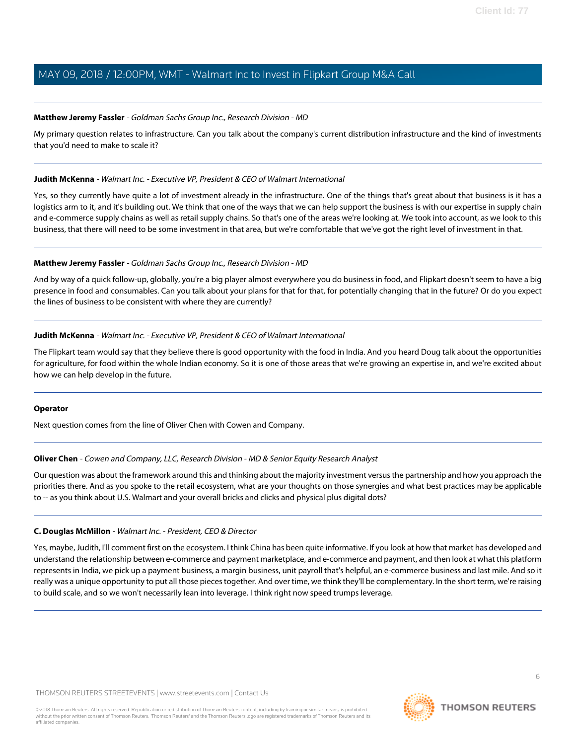#### <span id="page-5-0"></span>**Matthew Jeremy Fassler** - Goldman Sachs Group Inc., Research Division - MD

My primary question relates to infrastructure. Can you talk about the company's current distribution infrastructure and the kind of investments that you'd need to make to scale it?

#### **Judith McKenna** - Walmart Inc. - Executive VP, President & CEO of Walmart International

Yes, so they currently have quite a lot of investment already in the infrastructure. One of the things that's great about that business is it has a logistics arm to it, and it's building out. We think that one of the ways that we can help support the business is with our expertise in supply chain and e-commerce supply chains as well as retail supply chains. So that's one of the areas we're looking at. We took into account, as we look to this business, that there will need to be some investment in that area, but we're comfortable that we've got the right level of investment in that.

#### **Matthew Jeremy Fassler** - Goldman Sachs Group Inc., Research Division - MD

And by way of a quick follow-up, globally, you're a big player almost everywhere you do business in food, and Flipkart doesn't seem to have a big presence in food and consumables. Can you talk about your plans for that for that, for potentially changing that in the future? Or do you expect the lines of business to be consistent with where they are currently?

#### **Judith McKenna** - Walmart Inc. - Executive VP, President & CEO of Walmart International

The Flipkart team would say that they believe there is good opportunity with the food in India. And you heard Doug talk about the opportunities for agriculture, for food within the whole Indian economy. So it is one of those areas that we're growing an expertise in, and we're excited about how we can help develop in the future.

#### <span id="page-5-1"></span>**Operator**

Next question comes from the line of Oliver Chen with Cowen and Company.

#### **Oliver Chen** - Cowen and Company, LLC, Research Division - MD & Senior Equity Research Analyst

Our question was about the framework around this and thinking about the majority investment versus the partnership and how you approach the priorities there. And as you spoke to the retail ecosystem, what are your thoughts on those synergies and what best practices may be applicable to -- as you think about U.S. Walmart and your overall bricks and clicks and physical plus digital dots?

#### **C. Douglas McMillon** - Walmart Inc. - President, CEO & Director

Yes, maybe, Judith, I'll comment first on the ecosystem. I think China has been quite informative. If you look at how that market has developed and understand the relationship between e-commerce and payment marketplace, and e-commerce and payment, and then look at what this platform represents in India, we pick up a payment business, a margin business, unit payroll that's helpful, an e-commerce business and last mile. And so it really was a unique opportunity to put all those pieces together. And over time, we think they'll be complementary. In the short term, we're raising to build scale, and so we won't necessarily lean into leverage. I think right now speed trumps leverage.

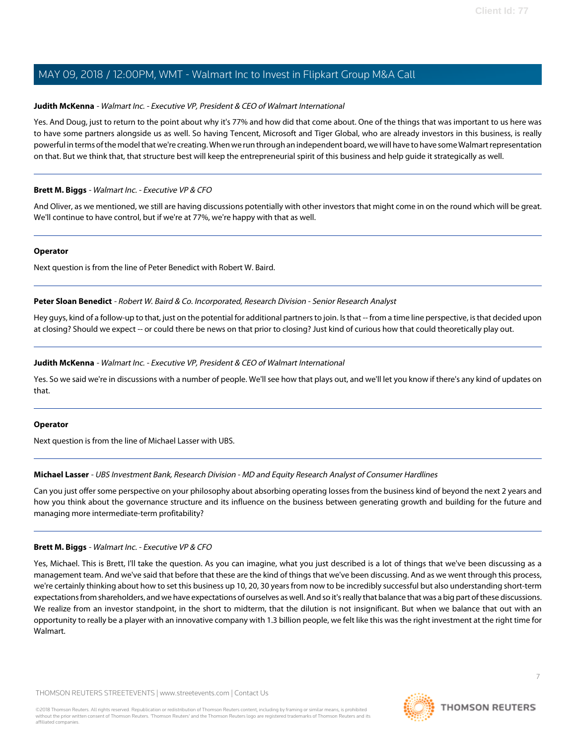#### **Judith McKenna** - Walmart Inc. - Executive VP, President & CEO of Walmart International

Yes. And Doug, just to return to the point about why it's 77% and how did that come about. One of the things that was important to us here was to have some partners alongside us as well. So having Tencent, Microsoft and Tiger Global, who are already investors in this business, is really powerful in terms of the model that we're creating. When we run through an independent board, we will have to have some Walmart representation on that. But we think that, that structure best will keep the entrepreneurial spirit of this business and help guide it strategically as well.

#### **Brett M. Biggs** - Walmart Inc. - Executive VP & CFO

And Oliver, as we mentioned, we still are having discussions potentially with other investors that might come in on the round which will be great. We'll continue to have control, but if we're at 77%, we're happy with that as well.

#### **Operator**

<span id="page-6-1"></span>Next question is from the line of Peter Benedict with Robert W. Baird.

**Peter Sloan Benedict** - Robert W. Baird & Co. Incorporated, Research Division - Senior Research Analyst

Hey guys, kind of a follow-up to that, just on the potential for additional partners to join. Is that -- from a time line perspective, is that decided upon at closing? Should we expect -- or could there be news on that prior to closing? Just kind of curious how that could theoretically play out.

#### **Judith McKenna** - Walmart Inc. - Executive VP, President & CEO of Walmart International

Yes. So we said we're in discussions with a number of people. We'll see how that plays out, and we'll let you know if there's any kind of updates on that.

#### <span id="page-6-0"></span>**Operator**

Next question is from the line of Michael Lasser with UBS.

#### **Michael Lasser** - UBS Investment Bank, Research Division - MD and Equity Research Analyst of Consumer Hardlines

Can you just offer some perspective on your philosophy about absorbing operating losses from the business kind of beyond the next 2 years and how you think about the governance structure and its influence on the business between generating growth and building for the future and managing more intermediate-term profitability?

#### **Brett M. Biggs** - Walmart Inc. - Executive VP & CFO

Yes, Michael. This is Brett, I'll take the question. As you can imagine, what you just described is a lot of things that we've been discussing as a management team. And we've said that before that these are the kind of things that we've been discussing. And as we went through this process, we're certainly thinking about how to set this business up 10, 20, 30 years from now to be incredibly successful but also understanding short-term expectations from shareholders, and we have expectations of ourselves as well. And so it's really that balance that was a big part of these discussions. We realize from an investor standpoint, in the short to midterm, that the dilution is not insignificant. But when we balance that out with an opportunity to really be a player with an innovative company with 1.3 billion people, we felt like this was the right investment at the right time for Walmart.

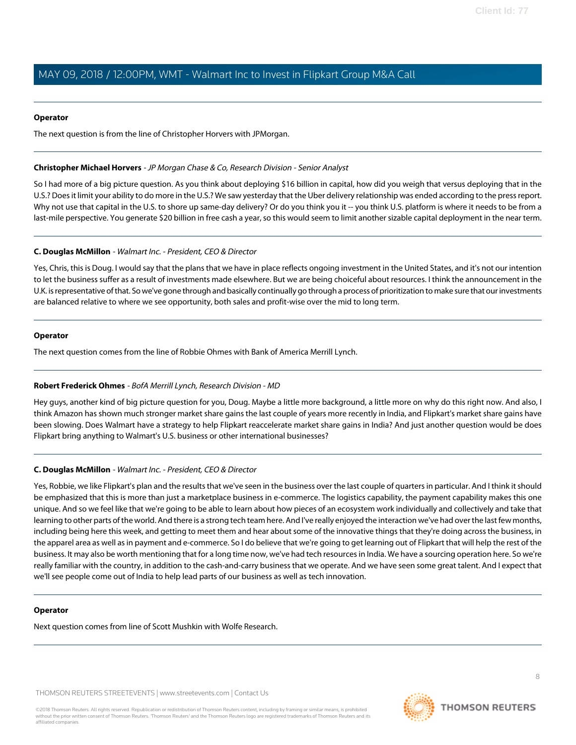#### **Operator**

The next question is from the line of Christopher Horvers with JPMorgan.

#### <span id="page-7-0"></span>**Christopher Michael Horvers** - JP Morgan Chase & Co, Research Division - Senior Analyst

So I had more of a big picture question. As you think about deploying \$16 billion in capital, how did you weigh that versus deploying that in the U.S.? Does it limit your ability to do more in the U.S.? We saw yesterday that the Uber delivery relationship was ended according to the press report. Why not use that capital in the U.S. to shore up same-day delivery? Or do you think you it -- you think U.S. platform is where it needs to be from a last-mile perspective. You generate \$20 billion in free cash a year, so this would seem to limit another sizable capital deployment in the near term.

#### **C. Douglas McMillon** - Walmart Inc. - President, CEO & Director

Yes, Chris, this is Doug. I would say that the plans that we have in place reflects ongoing investment in the United States, and it's not our intention to let the business suffer as a result of investments made elsewhere. But we are being choiceful about resources. I think the announcement in the U.K. is representative of that. So we've gone through and basically continually go through a process of prioritization to make sure that our investments are balanced relative to where we see opportunity, both sales and profit-wise over the mid to long term.

#### **Operator**

<span id="page-7-1"></span>The next question comes from the line of Robbie Ohmes with Bank of America Merrill Lynch.

#### **Robert Frederick Ohmes** - BofA Merrill Lynch, Research Division - MD

Hey guys, another kind of big picture question for you, Doug. Maybe a little more background, a little more on why do this right now. And also, I think Amazon has shown much stronger market share gains the last couple of years more recently in India, and Flipkart's market share gains have been slowing. Does Walmart have a strategy to help Flipkart reaccelerate market share gains in India? And just another question would be does Flipkart bring anything to Walmart's U.S. business or other international businesses?

#### **C. Douglas McMillon** - Walmart Inc. - President, CEO & Director

Yes, Robbie, we like Flipkart's plan and the results that we've seen in the business over the last couple of quarters in particular. And I think it should be emphasized that this is more than just a marketplace business in e-commerce. The logistics capability, the payment capability makes this one unique. And so we feel like that we're going to be able to learn about how pieces of an ecosystem work individually and collectively and take that learning to other parts of the world. And there is a strong tech team here. And I've really enjoyed the interaction we've had over the last few months, including being here this week, and getting to meet them and hear about some of the innovative things that they're doing across the business, in the apparel area as well as in payment and e-commerce. So I do believe that we're going to get learning out of Flipkart that will help the rest of the business. It may also be worth mentioning that for a long time now, we've had tech resources in India. We have a sourcing operation here. So we're really familiar with the country, in addition to the cash-and-carry business that we operate. And we have seen some great talent. And I expect that we'll see people come out of India to help lead parts of our business as well as tech innovation.

#### **Operator**

Next question comes from line of Scott Mushkin with Wolfe Research.

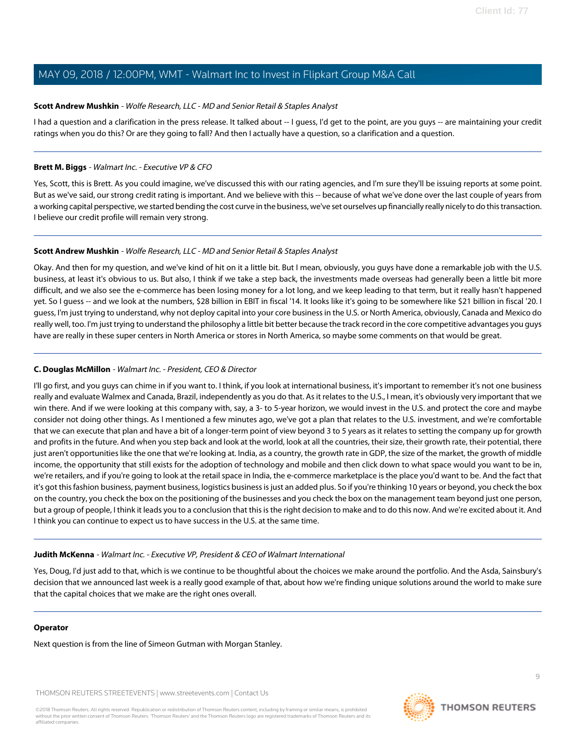#### <span id="page-8-0"></span>**Scott Andrew Mushkin** - Wolfe Research, LLC - MD and Senior Retail & Staples Analyst

I had a question and a clarification in the press release. It talked about -- I guess, I'd get to the point, are you guys -- are maintaining your credit ratings when you do this? Or are they going to fall? And then I actually have a question, so a clarification and a question.

#### **Brett M. Biggs** - Walmart Inc. - Executive VP & CFO

Yes, Scott, this is Brett. As you could imagine, we've discussed this with our rating agencies, and I'm sure they'll be issuing reports at some point. But as we've said, our strong credit rating is important. And we believe with this -- because of what we've done over the last couple of years from a working capital perspective, we started bending the cost curve in the business, we've set ourselves up financially really nicely to do this transaction. I believe our credit profile will remain very strong.

#### **Scott Andrew Mushkin** - Wolfe Research, LLC - MD and Senior Retail & Staples Analyst

Okay. And then for my question, and we've kind of hit on it a little bit. But I mean, obviously, you guys have done a remarkable job with the U.S. business, at least it's obvious to us. But also, I think if we take a step back, the investments made overseas had generally been a little bit more difficult, and we also see the e-commerce has been losing money for a lot long, and we keep leading to that term, but it really hasn't happened yet. So I guess -- and we look at the numbers, \$28 billion in EBIT in fiscal '14. It looks like it's going to be somewhere like \$21 billion in fiscal '20. I guess, I'm just trying to understand, why not deploy capital into your core business in the U.S. or North America, obviously, Canada and Mexico do really well, too. I'm just trying to understand the philosophy a little bit better because the track record in the core competitive advantages you guys have are really in these super centers in North America or stores in North America, so maybe some comments on that would be great.

#### **C. Douglas McMillon** - Walmart Inc. - President, CEO & Director

I'll go first, and you guys can chime in if you want to. I think, if you look at international business, it's important to remember it's not one business really and evaluate Walmex and Canada, Brazil, independently as you do that. As it relates to the U.S., I mean, it's obviously very important that we win there. And if we were looking at this company with, say, a 3- to 5-year horizon, we would invest in the U.S. and protect the core and maybe consider not doing other things. As I mentioned a few minutes ago, we've got a plan that relates to the U.S. investment, and we're comfortable that we can execute that plan and have a bit of a longer-term point of view beyond 3 to 5 years as it relates to setting the company up for growth and profits in the future. And when you step back and look at the world, look at all the countries, their size, their growth rate, their potential, there just aren't opportunities like the one that we're looking at. India, as a country, the growth rate in GDP, the size of the market, the growth of middle income, the opportunity that still exists for the adoption of technology and mobile and then click down to what space would you want to be in, we're retailers, and if you're going to look at the retail space in India, the e-commerce marketplace is the place you'd want to be. And the fact that it's got this fashion business, payment business, logistics business is just an added plus. So if you're thinking 10 years or beyond, you check the box on the country, you check the box on the positioning of the businesses and you check the box on the management team beyond just one person, but a group of people, I think it leads you to a conclusion that this is the right decision to make and to do this now. And we're excited about it. And I think you can continue to expect us to have success in the U.S. at the same time.

#### **Judith McKenna** - Walmart Inc. - Executive VP, President & CEO of Walmart International

Yes, Doug, I'd just add to that, which is we continue to be thoughtful about the choices we make around the portfolio. And the Asda, Sainsbury's decision that we announced last week is a really good example of that, about how we're finding unique solutions around the world to make sure that the capital choices that we make are the right ones overall.

#### **Operator**

Next question is from the line of Simeon Gutman with Morgan Stanley.

THOMSON REUTERS STREETEVENTS | [www.streetevents.com](http://www.streetevents.com) | [Contact Us](http://www010.streetevents.com/contact.asp)

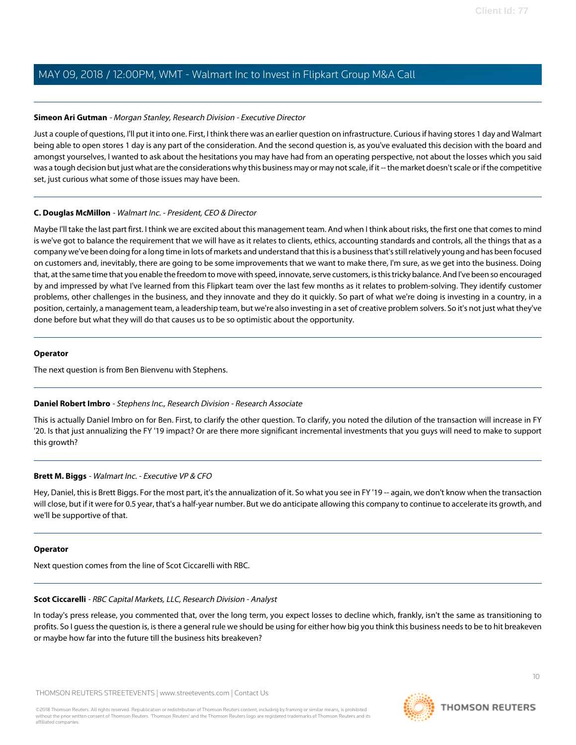#### <span id="page-9-2"></span>**Simeon Ari Gutman** - Morgan Stanley, Research Division - Executive Director

Just a couple of questions, I'll put it into one. First, I think there was an earlier question on infrastructure. Curious if having stores 1 day and Walmart being able to open stores 1 day is any part of the consideration. And the second question is, as you've evaluated this decision with the board and amongst yourselves, I wanted to ask about the hesitations you may have had from an operating perspective, not about the losses which you said was a tough decision but just what are the considerations why this business may or may not scale, if it -- the market doesn't scale or if the competitive set, just curious what some of those issues may have been.

#### **C. Douglas McMillon** - Walmart Inc. - President, CEO & Director

Maybe I'll take the last part first. I think we are excited about this management team. And when I think about risks, the first one that comes to mind is we've got to balance the requirement that we will have as it relates to clients, ethics, accounting standards and controls, all the things that as a company we've been doing for a long time in lots of markets and understand that this is a business that's still relatively young and has been focused on customers and, inevitably, there are going to be some improvements that we want to make there, I'm sure, as we get into the business. Doing that, at the same time that you enable the freedom to move with speed, innovate, serve customers, is this tricky balance. And I've been so encouraged by and impressed by what I've learned from this Flipkart team over the last few months as it relates to problem-solving. They identify customer problems, other challenges in the business, and they innovate and they do it quickly. So part of what we're doing is investing in a country, in a position, certainly, a management team, a leadership team, but we're also investing in a set of creative problem solvers. So it's not just what they've done before but what they will do that causes us to be so optimistic about the opportunity.

#### **Operator**

<span id="page-9-0"></span>The next question is from Ben Bienvenu with Stephens.

#### **Daniel Robert Imbro** - Stephens Inc., Research Division - Research Associate

This is actually Daniel Imbro on for Ben. First, to clarify the other question. To clarify, you noted the dilution of the transaction will increase in FY '20. Is that just annualizing the FY '19 impact? Or are there more significant incremental investments that you guys will need to make to support this growth?

#### **Brett M. Biggs** - Walmart Inc. - Executive VP & CFO

Hey, Daniel, this is Brett Biggs. For the most part, it's the annualization of it. So what you see in FY '19 -- again, we don't know when the transaction will close, but if it were for 0.5 year, that's a half-year number. But we do anticipate allowing this company to continue to accelerate its growth, and we'll be supportive of that.

#### <span id="page-9-1"></span>**Operator**

Next question comes from the line of Scot Ciccarelli with RBC.

#### **Scot Ciccarelli** - RBC Capital Markets, LLC, Research Division - Analyst

In today's press release, you commented that, over the long term, you expect losses to decline which, frankly, isn't the same as transitioning to profits. So I guess the question is, is there a general rule we should be using for either how big you think this business needs to be to hit breakeven or maybe how far into the future till the business hits breakeven?

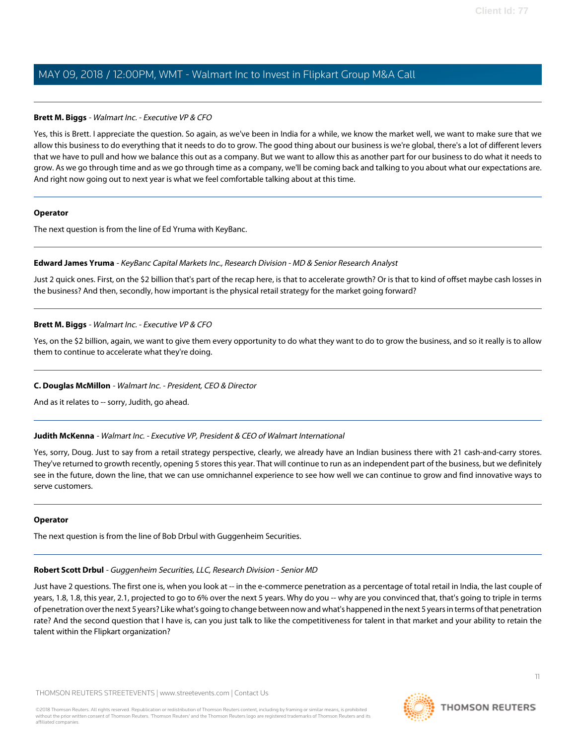#### **Brett M. Biggs** - Walmart Inc. - Executive VP & CFO

Yes, this is Brett. I appreciate the question. So again, as we've been in India for a while, we know the market well, we want to make sure that we allow this business to do everything that it needs to do to grow. The good thing about our business is we're global, there's a lot of different levers that we have to pull and how we balance this out as a company. But we want to allow this as another part for our business to do what it needs to grow. As we go through time and as we go through time as a company, we'll be coming back and talking to you about what our expectations are. And right now going out to next year is what we feel comfortable talking about at this time.

#### **Operator**

<span id="page-10-0"></span>The next question is from the line of Ed Yruma with KeyBanc.

#### **Edward James Yruma** - KeyBanc Capital Markets Inc., Research Division - MD & Senior Research Analyst

Just 2 quick ones. First, on the \$2 billion that's part of the recap here, is that to accelerate growth? Or is that to kind of offset maybe cash losses in the business? And then, secondly, how important is the physical retail strategy for the market going forward?

#### **Brett M. Biggs** - Walmart Inc. - Executive VP & CFO

Yes, on the \$2 billion, again, we want to give them every opportunity to do what they want to do to grow the business, and so it really is to allow them to continue to accelerate what they're doing.

#### **C. Douglas McMillon** - Walmart Inc. - President, CEO & Director

And as it relates to -- sorry, Judith, go ahead.

#### **Judith McKenna** - Walmart Inc. - Executive VP, President & CEO of Walmart International

Yes, sorry, Doug. Just to say from a retail strategy perspective, clearly, we already have an Indian business there with 21 cash-and-carry stores. They've returned to growth recently, opening 5 stores this year. That will continue to run as an independent part of the business, but we definitely see in the future, down the line, that we can use omnichannel experience to see how well we can continue to grow and find innovative ways to serve customers.

#### <span id="page-10-1"></span>**Operator**

The next question is from the line of Bob Drbul with Guggenheim Securities.

#### **Robert Scott Drbul** - Guggenheim Securities, LLC, Research Division - Senior MD

Just have 2 questions. The first one is, when you look at -- in the e-commerce penetration as a percentage of total retail in India, the last couple of years, 1.8, 1.8, this year, 2.1, projected to go to 6% over the next 5 years. Why do you -- why are you convinced that, that's going to triple in terms of penetration over the next 5 years? Like what's going to change between now and what's happened in the next 5 years in terms of that penetration rate? And the second question that I have is, can you just talk to like the competitiveness for talent in that market and your ability to retain the talent within the Flipkart organization?

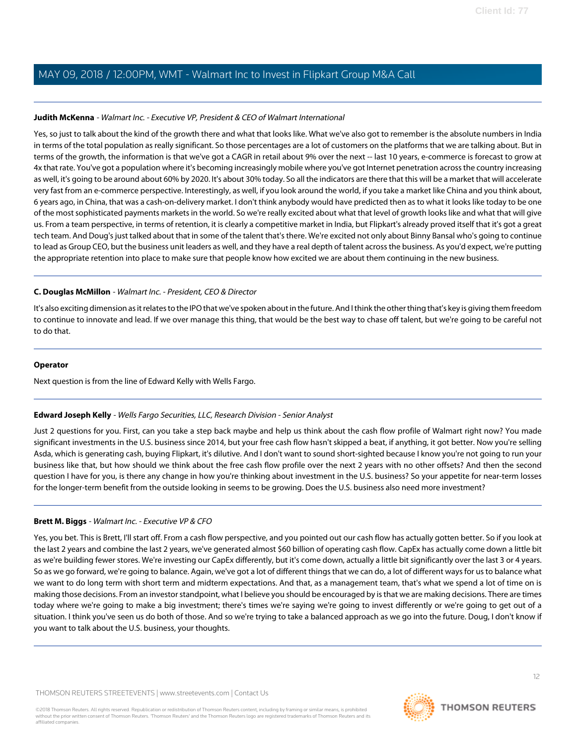#### **Judith McKenna** - Walmart Inc. - Executive VP, President & CEO of Walmart International

Yes, so just to talk about the kind of the growth there and what that looks like. What we've also got to remember is the absolute numbers in India in terms of the total population as really significant. So those percentages are a lot of customers on the platforms that we are talking about. But in terms of the growth, the information is that we've got a CAGR in retail about 9% over the next -- last 10 years, e-commerce is forecast to grow at 4x that rate. You've got a population where it's becoming increasingly mobile where you've got Internet penetration across the country increasing as well, it's going to be around about 60% by 2020. It's about 30% today. So all the indicators are there that this will be a market that will accelerate very fast from an e-commerce perspective. Interestingly, as well, if you look around the world, if you take a market like China and you think about, 6 years ago, in China, that was a cash-on-delivery market. I don't think anybody would have predicted then as to what it looks like today to be one of the most sophisticated payments markets in the world. So we're really excited about what that level of growth looks like and what that will give us. From a team perspective, in terms of retention, it is clearly a competitive market in India, but Flipkart's already proved itself that it's got a great tech team. And Doug's just talked about that in some of the talent that's there. We're excited not only about Binny Bansal who's going to continue to lead as Group CEO, but the business unit leaders as well, and they have a real depth of talent across the business. As you'd expect, we're putting the appropriate retention into place to make sure that people know how excited we are about them continuing in the new business.

#### **C. Douglas McMillon** - Walmart Inc. - President, CEO & Director

It's also exciting dimension as it relates to the IPO that we've spoken about in the future. And I think the other thing that's key is giving them freedom to continue to innovate and lead. If we over manage this thing, that would be the best way to chase off talent, but we're going to be careful not to do that.

#### **Operator**

<span id="page-11-0"></span>Next question is from the line of Edward Kelly with Wells Fargo.

#### **Edward Joseph Kelly** - Wells Fargo Securities, LLC, Research Division - Senior Analyst

Just 2 questions for you. First, can you take a step back maybe and help us think about the cash flow profile of Walmart right now? You made significant investments in the U.S. business since 2014, but your free cash flow hasn't skipped a beat, if anything, it got better. Now you're selling Asda, which is generating cash, buying Flipkart, it's dilutive. And I don't want to sound short-sighted because I know you're not going to run your business like that, but how should we think about the free cash flow profile over the next 2 years with no other offsets? And then the second question I have for you, is there any change in how you're thinking about investment in the U.S. business? So your appetite for near-term losses for the longer-term benefit from the outside looking in seems to be growing. Does the U.S. business also need more investment?

#### **Brett M. Biggs** - Walmart Inc. - Executive VP & CFO

Yes, you bet. This is Brett, I'll start off. From a cash flow perspective, and you pointed out our cash flow has actually gotten better. So if you look at the last 2 years and combine the last 2 years, we've generated almost \$60 billion of operating cash flow. CapEx has actually come down a little bit as we're building fewer stores. We're investing our CapEx differently, but it's come down, actually a little bit significantly over the last 3 or 4 years. So as we go forward, we're going to balance. Again, we've got a lot of different things that we can do, a lot of different ways for us to balance what we want to do long term with short term and midterm expectations. And that, as a management team, that's what we spend a lot of time on is making those decisions. From an investor standpoint, what I believe you should be encouraged by is that we are making decisions. There are times today where we're going to make a big investment; there's times we're saying we're going to invest differently or we're going to get out of a situation. I think you've seen us do both of those. And so we're trying to take a balanced approach as we go into the future. Doug, I don't know if you want to talk about the U.S. business, your thoughts.

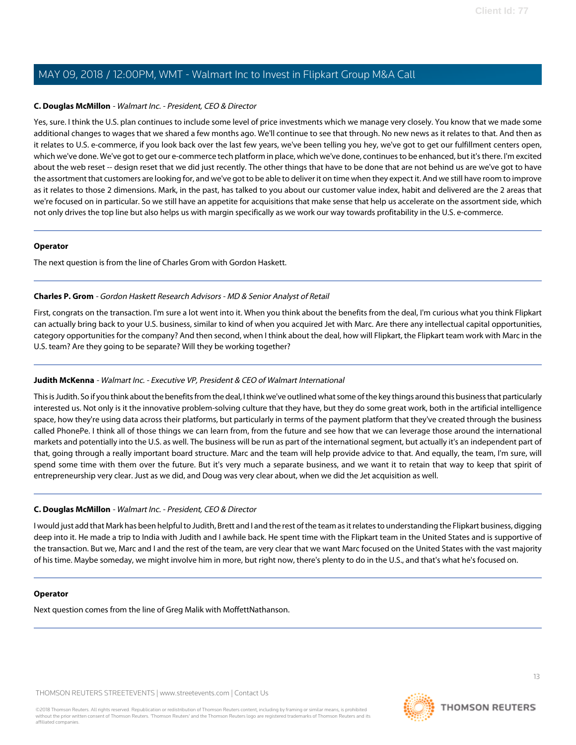#### **C. Douglas McMillon** - Walmart Inc. - President, CEO & Director

Yes, sure. I think the U.S. plan continues to include some level of price investments which we manage very closely. You know that we made some additional changes to wages that we shared a few months ago. We'll continue to see that through. No new news as it relates to that. And then as it relates to U.S. e-commerce, if you look back over the last few years, we've been telling you hey, we've got to get our fulfillment centers open, which we've done. We've got to get our e-commerce tech platform in place, which we've done, continues to be enhanced, but it's there. I'm excited about the web reset -- design reset that we did just recently. The other things that have to be done that are not behind us are we've got to have the assortment that customers are looking for, and we've got to be able to deliver it on time when they expect it. And we still have room to improve as it relates to those 2 dimensions. Mark, in the past, has talked to you about our customer value index, habit and delivered are the 2 areas that we're focused on in particular. So we still have an appetite for acquisitions that make sense that help us accelerate on the assortment side, which not only drives the top line but also helps us with margin specifically as we work our way towards profitability in the U.S. e-commerce.

#### **Operator**

<span id="page-12-0"></span>The next question is from the line of Charles Grom with Gordon Haskett.

#### **Charles P. Grom** - Gordon Haskett Research Advisors - MD & Senior Analyst of Retail

First, congrats on the transaction. I'm sure a lot went into it. When you think about the benefits from the deal, I'm curious what you think Flipkart can actually bring back to your U.S. business, similar to kind of when you acquired Jet with Marc. Are there any intellectual capital opportunities, category opportunities for the company? And then second, when I think about the deal, how will Flipkart, the Flipkart team work with Marc in the U.S. team? Are they going to be separate? Will they be working together?

#### **Judith McKenna** - Walmart Inc. - Executive VP, President & CEO of Walmart International

This is Judith. So if you think about the benefits from the deal, I think we've outlined what some of the key things around this business that particularly interested us. Not only is it the innovative problem-solving culture that they have, but they do some great work, both in the artificial intelligence space, how they're using data across their platforms, but particularly in terms of the payment platform that they've created through the business called PhonePe. I think all of those things we can learn from, from the future and see how that we can leverage those around the international markets and potentially into the U.S. as well. The business will be run as part of the international segment, but actually it's an independent part of that, going through a really important board structure. Marc and the team will help provide advice to that. And equally, the team, I'm sure, will spend some time with them over the future. But it's very much a separate business, and we want it to retain that way to keep that spirit of entrepreneurship very clear. Just as we did, and Doug was very clear about, when we did the Jet acquisition as well.

#### **C. Douglas McMillon** - Walmart Inc. - President, CEO & Director

I would just add that Mark has been helpful to Judith, Brett and I and the rest of the team as it relates to understanding the Flipkart business, digging deep into it. He made a trip to India with Judith and I awhile back. He spent time with the Flipkart team in the United States and is supportive of the transaction. But we, Marc and I and the rest of the team, are very clear that we want Marc focused on the United States with the vast majority of his time. Maybe someday, we might involve him in more, but right now, there's plenty to do in the U.S., and that's what he's focused on.

#### **Operator**

Next question comes from the line of Greg Malik with MoffettNathanson.



13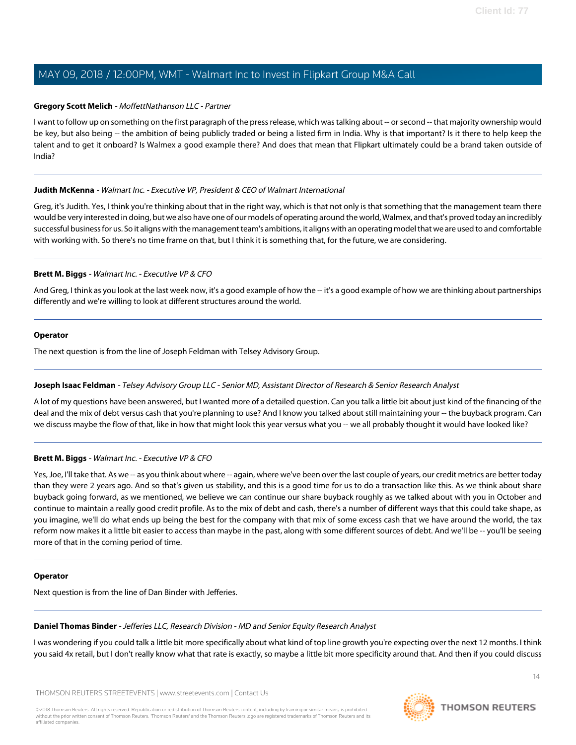#### <span id="page-13-1"></span>**Gregory Scott Melich** - MoffettNathanson LLC - Partner

I want to follow up on something on the first paragraph of the press release, which was talking about -- or second -- that majority ownership would be key, but also being -- the ambition of being publicly traded or being a listed firm in India. Why is that important? Is it there to help keep the talent and to get it onboard? Is Walmex a good example there? And does that mean that Flipkart ultimately could be a brand taken outside of India?

#### **Judith McKenna** - Walmart Inc. - Executive VP, President & CEO of Walmart International

Greg, it's Judith. Yes, I think you're thinking about that in the right way, which is that not only is that something that the management team there would be very interested in doing, but we also have one of our models of operating around the world, Walmex, and that's proved today an incredibly successful business for us. So it aligns with the management team's ambitions, it aligns with an operating model that we are used to and comfortable with working with. So there's no time frame on that, but I think it is something that, for the future, we are considering.

#### **Brett M. Biggs** - Walmart Inc. - Executive VP & CFO

And Greg, I think as you look at the last week now, it's a good example of how the -- it's a good example of how we are thinking about partnerships differently and we're willing to look at different structures around the world.

#### **Operator**

<span id="page-13-2"></span>The next question is from the line of Joseph Feldman with Telsey Advisory Group.

#### **Joseph Isaac Feldman** - Telsey Advisory Group LLC - Senior MD, Assistant Director of Research & Senior Research Analyst

A lot of my questions have been answered, but I wanted more of a detailed question. Can you talk a little bit about just kind of the financing of the deal and the mix of debt versus cash that you're planning to use? And I know you talked about still maintaining your -- the buyback program. Can we discuss maybe the flow of that, like in how that might look this year versus what you -- we all probably thought it would have looked like?

#### **Brett M. Biggs** - Walmart Inc. - Executive VP & CFO

Yes, Joe, I'll take that. As we -- as you think about where -- again, where we've been over the last couple of years, our credit metrics are better today than they were 2 years ago. And so that's given us stability, and this is a good time for us to do a transaction like this. As we think about share buyback going forward, as we mentioned, we believe we can continue our share buyback roughly as we talked about with you in October and continue to maintain a really good credit profile. As to the mix of debt and cash, there's a number of different ways that this could take shape, as you imagine, we'll do what ends up being the best for the company with that mix of some excess cash that we have around the world, the tax reform now makes it a little bit easier to access than maybe in the past, along with some different sources of debt. And we'll be -- you'll be seeing more of that in the coming period of time.

#### <span id="page-13-0"></span>**Operator**

Next question is from the line of Dan Binder with Jefferies.

#### **Daniel Thomas Binder** - Jefferies LLC, Research Division - MD and Senior Equity Research Analyst

I was wondering if you could talk a little bit more specifically about what kind of top line growth you're expecting over the next 12 months. I think you said 4x retail, but I don't really know what that rate is exactly, so maybe a little bit more specificity around that. And then if you could discuss

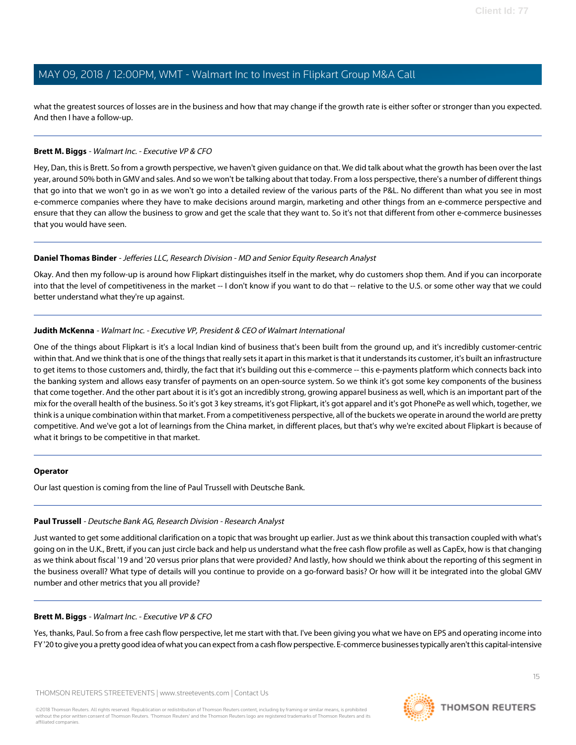what the greatest sources of losses are in the business and how that may change if the growth rate is either softer or stronger than you expected. And then I have a follow-up.

#### **Brett M. Biggs** - Walmart Inc. - Executive VP & CFO

Hey, Dan, this is Brett. So from a growth perspective, we haven't given guidance on that. We did talk about what the growth has been over the last year, around 50% both in GMV and sales. And so we won't be talking about that today. From a loss perspective, there's a number of different things that go into that we won't go in as we won't go into a detailed review of the various parts of the P&L. No different than what you see in most e-commerce companies where they have to make decisions around margin, marketing and other things from an e-commerce perspective and ensure that they can allow the business to grow and get the scale that they want to. So it's not that different from other e-commerce businesses that you would have seen.

#### **Daniel Thomas Binder** - Jefferies LLC, Research Division - MD and Senior Equity Research Analyst

Okay. And then my follow-up is around how Flipkart distinguishes itself in the market, why do customers shop them. And if you can incorporate into that the level of competitiveness in the market -- I don't know if you want to do that -- relative to the U.S. or some other way that we could better understand what they're up against.

#### **Judith McKenna** - Walmart Inc. - Executive VP, President & CEO of Walmart International

One of the things about Flipkart is it's a local Indian kind of business that's been built from the ground up, and it's incredibly customer-centric within that. And we think that is one of the things that really sets it apart in this market is that it understands its customer, it's built an infrastructure to get items to those customers and, thirdly, the fact that it's building out this e-commerce -- this e-payments platform which connects back into the banking system and allows easy transfer of payments on an open-source system. So we think it's got some key components of the business that come together. And the other part about it is it's got an incredibly strong, growing apparel business as well, which is an important part of the mix for the overall health of the business. So it's got 3 key streams, it's got Flipkart, it's got apparel and it's got PhonePe as well which, together, we think is a unique combination within that market. From a competitiveness perspective, all of the buckets we operate in around the world are pretty competitive. And we've got a lot of learnings from the China market, in different places, but that's why we're excited about Flipkart is because of what it brings to be competitive in that market.

#### <span id="page-14-0"></span>**Operator**

Our last question is coming from the line of Paul Trussell with Deutsche Bank.

## **Paul Trussell** - Deutsche Bank AG, Research Division - Research Analyst

Just wanted to get some additional clarification on a topic that was brought up earlier. Just as we think about this transaction coupled with what's going on in the U.K., Brett, if you can just circle back and help us understand what the free cash flow profile as well as CapEx, how is that changing as we think about fiscal '19 and '20 versus prior plans that were provided? And lastly, how should we think about the reporting of this segment in the business overall? What type of details will you continue to provide on a go-forward basis? Or how will it be integrated into the global GMV number and other metrics that you all provide?

## **Brett M. Biggs** - Walmart Inc. - Executive VP & CFO

Yes, thanks, Paul. So from a free cash flow perspective, let me start with that. I've been giving you what we have on EPS and operating income into FY '20 to give you a pretty good idea of what you can expect from a cash flow perspective. E-commerce businesses typically aren't this capital-intensive